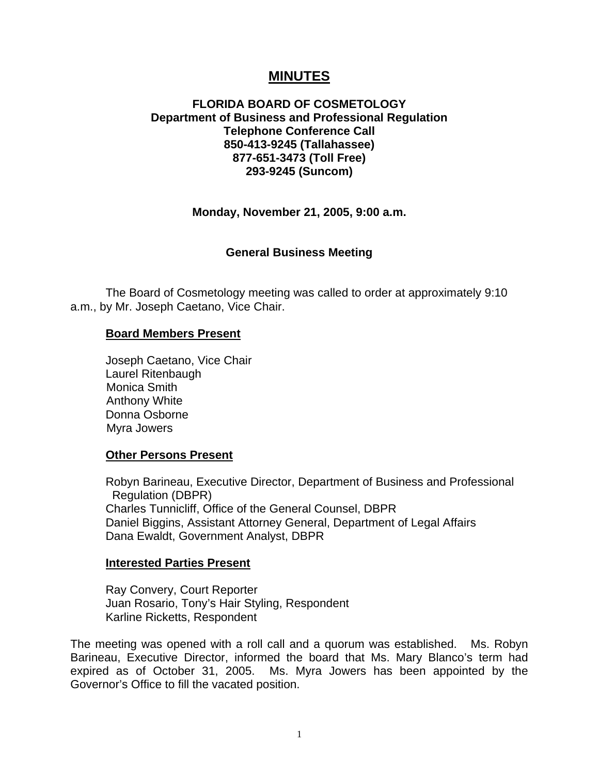# **MINUTES**

## **FLORIDA BOARD OF COSMETOLOGY Department of Business and Professional Regulation Telephone Conference Call 850-413-9245 (Tallahassee) 877-651-3473 (Toll Free) 293-9245 (Suncom)**

## **Monday, November 21, 2005, 9:00 a.m.**

### **General Business Meeting**

 The Board of Cosmetology meeting was called to order at approximately 9:10 a.m., by Mr. Joseph Caetano, Vice Chair.

#### **Board Members Present**

 Joseph Caetano, Vice Chair Laurel Ritenbaugh Monica Smith Anthony White Donna Osborne Myra Jowers

### **Other Persons Present**

Robyn Barineau, Executive Director, Department of Business and Professional Regulation (DBPR) Charles Tunnicliff, Office of the General Counsel, DBPR Daniel Biggins, Assistant Attorney General, Department of Legal Affairs Dana Ewaldt, Government Analyst, DBPR

#### **Interested Parties Present**

Ray Convery, Court Reporter Juan Rosario, Tony's Hair Styling, Respondent Karline Ricketts, Respondent

The meeting was opened with a roll call and a quorum was established. Ms. Robyn Barineau, Executive Director, informed the board that Ms. Mary Blanco's term had expired as of October 31, 2005. Ms. Myra Jowers has been appointed by the Governor's Office to fill the vacated position.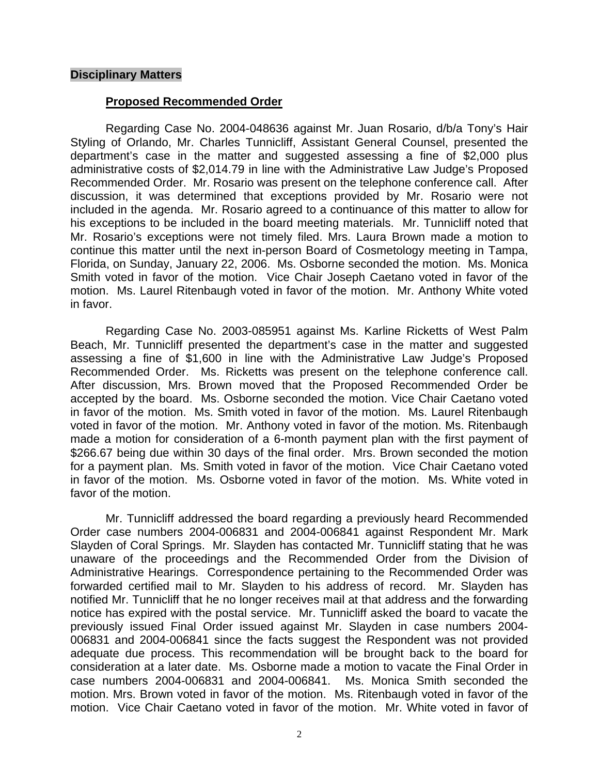### **Disciplinary Matters**

#### **Proposed Recommended Order**

Regarding Case No. 2004-048636 against Mr. Juan Rosario, d/b/a Tony's Hair Styling of Orlando, Mr. Charles Tunnicliff, Assistant General Counsel, presented the department's case in the matter and suggested assessing a fine of \$2,000 plus administrative costs of \$2,014.79 in line with the Administrative Law Judge's Proposed Recommended Order. Mr. Rosario was present on the telephone conference call. After discussion, it was determined that exceptions provided by Mr. Rosario were not included in the agenda. Mr. Rosario agreed to a continuance of this matter to allow for his exceptions to be included in the board meeting materials. Mr. Tunnicliff noted that Mr. Rosario's exceptions were not timely filed. Mrs. Laura Brown made a motion to continue this matter until the next in-person Board of Cosmetology meeting in Tampa, Florida, on Sunday, January 22, 2006. Ms. Osborne seconded the motion. Ms. Monica Smith voted in favor of the motion. Vice Chair Joseph Caetano voted in favor of the motion. Ms. Laurel Ritenbaugh voted in favor of the motion. Mr. Anthony White voted in favor.

Regarding Case No. 2003-085951 against Ms. Karline Ricketts of West Palm Beach, Mr. Tunnicliff presented the department's case in the matter and suggested assessing a fine of \$1,600 in line with the Administrative Law Judge's Proposed Recommended Order. Ms. Ricketts was present on the telephone conference call. After discussion, Mrs. Brown moved that the Proposed Recommended Order be accepted by the board. Ms. Osborne seconded the motion. Vice Chair Caetano voted in favor of the motion. Ms. Smith voted in favor of the motion. Ms. Laurel Ritenbaugh voted in favor of the motion. Mr. Anthony voted in favor of the motion. Ms. Ritenbaugh made a motion for consideration of a 6-month payment plan with the first payment of \$266.67 being due within 30 days of the final order. Mrs. Brown seconded the motion for a payment plan. Ms. Smith voted in favor of the motion. Vice Chair Caetano voted in favor of the motion. Ms. Osborne voted in favor of the motion. Ms. White voted in favor of the motion.

 Mr. Tunnicliff addressed the board regarding a previously heard Recommended Order case numbers 2004-006831 and 2004-006841 against Respondent Mr. Mark Slayden of Coral Springs. Mr. Slayden has contacted Mr. Tunnicliff stating that he was unaware of the proceedings and the Recommended Order from the Division of Administrative Hearings. Correspondence pertaining to the Recommended Order was forwarded certified mail to Mr. Slayden to his address of record. Mr. Slayden has notified Mr. Tunnicliff that he no longer receives mail at that address and the forwarding notice has expired with the postal service. Mr. Tunnicliff asked the board to vacate the previously issued Final Order issued against Mr. Slayden in case numbers 2004- 006831 and 2004-006841 since the facts suggest the Respondent was not provided adequate due process. This recommendation will be brought back to the board for consideration at a later date. Ms. Osborne made a motion to vacate the Final Order in case numbers 2004-006831 and 2004-006841. Ms. Monica Smith seconded the motion. Mrs. Brown voted in favor of the motion. Ms. Ritenbaugh voted in favor of the motion. Vice Chair Caetano voted in favor of the motion. Mr. White voted in favor of